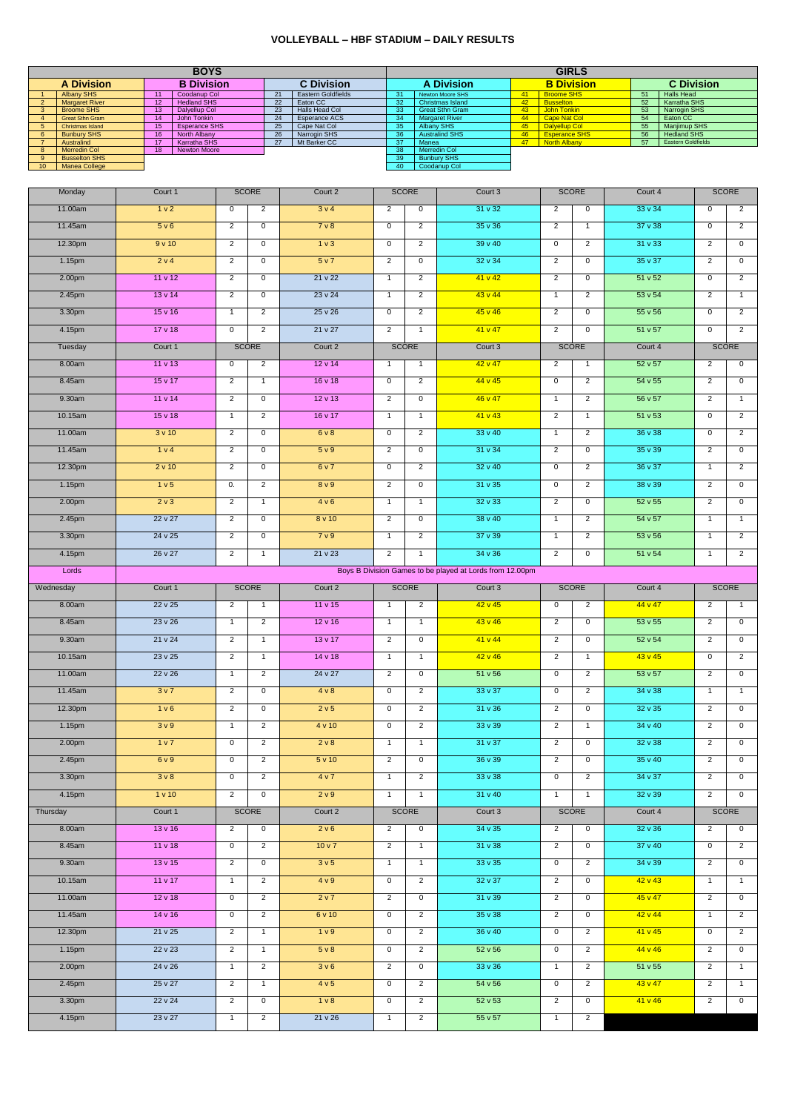## **VOLLEYBALL – HBF STADIUM – DAILY RESULTS**

|                                                                                                                                                                                                                                                                                          | <b>GIRLS</b>                                                |                |  |  |  |  |  |  |  |  |  |  |
|------------------------------------------------------------------------------------------------------------------------------------------------------------------------------------------------------------------------------------------------------------------------------------------|-------------------------------------------------------------|----------------|--|--|--|--|--|--|--|--|--|--|
| <b>B Division</b><br><b>B</b> Division<br><b>A Division</b><br><b>C</b> Division<br><b>A Division</b><br><b>Albany SHS</b><br>Coodanup Col<br>Eastern Goldfields<br><b>Newton Moore SHS</b><br><b>Broome SHS</b><br>31<br>41<br>11<br>21<br>$\mathbf{1}$                                 | <b>C</b> Division<br><b>Halls Head</b><br>51                |                |  |  |  |  |  |  |  |  |  |  |
| <b>Margaret River</b><br><b>Hedland SHS</b><br>Christmas Island<br>42<br><b>Busselton</b><br>12<br>22<br>Eaton CC<br>32<br>$2^{\circ}$<br><b>Halls Head Col</b><br><b>Broome SHS</b><br>Dalyellup Col<br>23<br><b>Great Sthn Gram</b><br>43<br>John Tonkin<br>13<br>33<br>3 <sup>7</sup> | Karratha SHS<br>52<br>53<br>Narrogin SHS                    |                |  |  |  |  |  |  |  |  |  |  |
| Esperance ACS<br><b>Great Sthn Gram</b><br>14<br>John Tonkin<br><b>Margaret River</b><br>44<br>Cape Nat Col<br>$\overline{4}$<br>24<br>34<br>Albany SHS<br>5 <sup>5</sup><br><b>Christmas Island</b><br><b>Esperance SHS</b><br>Cape Nat Col<br>45<br>Dalyellup Col<br>15<br>25<br>35    | Eaton CC<br>54<br>55<br><b>Manjimup SHS</b>                 |                |  |  |  |  |  |  |  |  |  |  |
| <b>Bunbury SHS</b><br>Narrogin SHS<br><b>Australind SHS</b><br>$6\overline{6}$<br>16<br>North Albany<br>26<br>46<br><b>Esperance SHS</b><br>36<br>Karratha SHS<br>$\overline{27}$<br>Mt Barker CC<br>37<br>North Albany<br>Australind<br>17<br>Manea<br>47<br>7 <sup>7</sup>             | 56<br><b>Hedland SHS</b><br>57<br><b>Eastern Goldfields</b> |                |  |  |  |  |  |  |  |  |  |  |
| <b>Merredin Col</b><br><b>Merredin Col</b><br>8 <sup>1</sup><br>18<br><b>Newton Moore</b><br>38<br><b>Busselton SHS</b><br><b>Bunbury SHS</b><br>9 <sup>°</sup><br>39                                                                                                                    |                                                             |                |  |  |  |  |  |  |  |  |  |  |
| 10<br><b>Manea College</b><br>40<br>Coodanup Col                                                                                                                                                                                                                                         |                                                             |                |  |  |  |  |  |  |  |  |  |  |
| <b>SCORE</b><br><b>SCORE</b><br>Court 1<br>Court 2<br><b>SCORE</b><br>Court 3<br>Monday                                                                                                                                                                                                  | Court 4                                                     | <b>SCORE</b>   |  |  |  |  |  |  |  |  |  |  |
| 11.00am<br>1 v 2<br>3v4<br>$31 \vee 32$<br>$\mathbf 0$<br>$\overline{2}$<br>$\overline{2}$<br>0<br>2<br>0                                                                                                                                                                                | 33v34<br>$\Omega$                                           | $\overline{2}$ |  |  |  |  |  |  |  |  |  |  |
| 5 v 6<br>$35 \vee 36$<br>11.45am<br>7 <sub>v</sub> 8<br>$\overline{2}$<br>$\overline{2}$<br>$\mathbf 0$<br>$\mathbf 0$<br>$\overline{2}$<br>$\mathbf{1}$                                                                                                                                 | 37v38<br>$\mathbf 0$                                        | $\overline{2}$ |  |  |  |  |  |  |  |  |  |  |
| 12.30pm<br>1 <sub>v</sub><br>39v40<br>9v10<br>$\mathbf 0$<br>$\overline{2}$<br>$\mathbf 0$<br>$\mathbf 0$<br>$\overline{2}$<br>$\overline{2}$                                                                                                                                            | 31 v 33<br>$\overline{2}$                                   | $\mathbf 0$    |  |  |  |  |  |  |  |  |  |  |
| 1.15pm<br>2 v 4<br>5 v 7<br>32 v 34<br>$\overline{2}$<br>$\overline{2}$<br>$\mathbf 0$<br>$\overline{2}$<br>$\mathbf 0$<br>0                                                                                                                                                             | $35 \vee 37$<br>$\overline{2}$                              | $\mathbf{0}$   |  |  |  |  |  |  |  |  |  |  |
| 11 v 12<br>21 v 22<br>41 v 42<br>$\overline{2}$<br>2.00pm<br>$\overline{2}$<br>$\overline{2}$<br>$\mathsf{O}$<br>$\mathbf 0$<br>$\overline{1}$                                                                                                                                           | 51 v 52<br>$\mathbf{0}$                                     | $\overline{2}$ |  |  |  |  |  |  |  |  |  |  |
| $13 \vee 14$<br>23v24<br>43 v 44<br>$\mathbf{1}$<br>$\overline{2}$<br>2.45pm<br>$\overline{2}$<br>$\mathbf 0$<br>$\overline{2}$<br>$\overline{1}$                                                                                                                                        | 53v54<br>$\overline{2}$                                     | $\mathbf{1}$   |  |  |  |  |  |  |  |  |  |  |
| $25 \vee 26$<br>$\overline{2}$<br>3.30pm<br>$15 \vee 16$<br>$\overline{2}$<br>45 v 46<br>$\mathsf{O}$<br>2<br>$\mathbf 0$<br>$\mathbf{1}$                                                                                                                                                | 55v56<br>$\mathbf{0}$                                       | $\overline{2}$ |  |  |  |  |  |  |  |  |  |  |
| 17v18<br>21 v 27<br>41 v 47<br>$\overline{2}$<br>4.15pm<br>$\mathbf 0$<br>$\overline{2}$<br>2<br>$\mathbf 0$<br>$\mathbf{1}$                                                                                                                                                             | 51 v 57<br>$\mathbf{0}$                                     | $\overline{2}$ |  |  |  |  |  |  |  |  |  |  |
| Tuesday<br>Court 1<br><b>SCORE</b><br>Court 2<br><b>SCORE</b><br>Court 3<br><b>SCORE</b>                                                                                                                                                                                                 | Court 4                                                     | <b>SCORE</b>   |  |  |  |  |  |  |  |  |  |  |
| 8.00am<br>11v13<br>42 v 47<br>$\overline{2}$<br>$12 \vee 14$<br>$\overline{2}$<br>$\mathbf{0}$<br>$\mathbf{1}$<br>$\mathbf{1}$<br>$\overline{1}$                                                                                                                                         | 52 v 57<br>$\overline{2}$                                   | $\mathbf 0$    |  |  |  |  |  |  |  |  |  |  |
| 8.45am<br>$15 \vee 17$<br>16v18<br>2<br>44 v 45<br>$\mathbf 0$<br>$\overline{2}$<br>2<br>$\overline{1}$<br>$\mathbf{0}$                                                                                                                                                                  | 54v55<br>$\overline{2}$                                     | $\mathbf{0}$   |  |  |  |  |  |  |  |  |  |  |
|                                                                                                                                                                                                                                                                                          |                                                             |                |  |  |  |  |  |  |  |  |  |  |
| 46 v 47<br>9.30am<br>11 v 14<br>2<br>$12 \vee 13$<br>2<br>$\mathbf{1}$<br>$\mathbf 0$<br>$\mathbf{0}$<br>$\overline{2}$                                                                                                                                                                  | 56 v 57<br>$\overline{2}$                                   | $\mathbf{1}$   |  |  |  |  |  |  |  |  |  |  |
| $\overline{2}$<br>10.15am<br>15v18<br>$\overline{2}$<br>16v17<br>41 v 43<br>$\mathbf{1}$<br>$\overline{1}$<br>$\mathbf{1}$<br>$\overline{1}$                                                                                                                                             | 51 v 53<br>$\mathbf 0$                                      | $\overline{2}$ |  |  |  |  |  |  |  |  |  |  |
| 33v40<br>11.00am<br>3v10<br>6v8<br>$\overline{2}$<br>$\mathbf 0$<br>$\mathbf 0$<br>2<br>$\mathbf{1}$<br>$\overline{2}$                                                                                                                                                                   | $36 \vee 38$<br>$\mathbf 0$                                 | $\overline{2}$ |  |  |  |  |  |  |  |  |  |  |
| 11.45am<br>1 v 4<br>5 v 9<br>31 v 34<br>$\overline{2}$<br>2<br>$\mathbf 0$<br>2<br>$\mathbf 0$<br>0                                                                                                                                                                                      | $35 \vee 39$<br>$\overline{2}$                              | $\mathbf 0$    |  |  |  |  |  |  |  |  |  |  |
| 12.30pm<br>2 v 10<br>6v7<br>$32 \vee 40$<br>$\overline{2}$<br>$\mathbf 0$<br>$\mathbf 0$<br>2<br>$\mathbf 0$<br>$\overline{2}$                                                                                                                                                           | 36v37<br>$\mathbf{1}$                                       | $\overline{2}$ |  |  |  |  |  |  |  |  |  |  |
| 1.15pm<br>1 <sub>v</sub> 5<br>0.<br>$\mathbf{2}$<br>8 <sub>v</sub> 9<br>2<br>$\mathbf{0}$<br>$31 \vee 35$<br>$\mathbf{0}$<br>$\mathbf{2}$                                                                                                                                                | $38 \vee 39$<br>$\mathbf{2}$                                | 0              |  |  |  |  |  |  |  |  |  |  |
| $32 \vee 33$<br>$\overline{2}$<br>2.00pm<br>2 <sub>v</sub> 3<br>$\overline{2}$<br>4v6<br>$\mathbf{1}$<br>$\overline{1}$<br>$\mathbf{1}$<br>$\mathbf 0$                                                                                                                                   | $52 \vee 55$<br>$\overline{2}$                              | $\mathbf{0}$   |  |  |  |  |  |  |  |  |  |  |
| 8v10<br>38v40<br>2.45pm<br>$22 \vee 27$<br>$\overline{2}$<br>$\overline{2}$<br>$\mathsf{O}$<br>$\mathbf{1}$<br>$\overline{2}$<br>$\mathbf 0$                                                                                                                                             | 54 v 57<br>$\mathbf{1}$                                     | $\mathbf{1}$   |  |  |  |  |  |  |  |  |  |  |
| 24v25<br>7 v 9<br>$\overline{2}$<br>37v39<br>3.30pm<br>2<br>$\mathbf 0$<br>$\overline{1}$<br>$\overline{2}$<br>$\mathbf{1}$                                                                                                                                                              | 53v56<br>$\mathbf{1}$                                       | $\overline{2}$ |  |  |  |  |  |  |  |  |  |  |
| 21 v 23<br>34 v 36<br>$\overline{2}$<br>26 v 27<br>$\overline{2}$<br>$\overline{2}$<br>$\mathsf{O}$<br>4.15pm<br>$\mathbf{1}$<br>$\mathbf{1}$                                                                                                                                            | 51 v 54<br>$\mathbf{1}$                                     | $\overline{2}$ |  |  |  |  |  |  |  |  |  |  |
| Boys B Division Games to be played at Lords from 12.00pm<br>Lords                                                                                                                                                                                                                        |                                                             |                |  |  |  |  |  |  |  |  |  |  |
| Court 1<br><b>SCORE</b><br>Court 2<br><b>SCORE</b><br>Court 3<br><b>SCORE</b><br>Wednesday                                                                                                                                                                                               | Court 4                                                     | <b>SCORE</b>   |  |  |  |  |  |  |  |  |  |  |
| 22v25<br>$42 \vee 45$<br>8.00am<br>11 v 15<br>$\overline{2}$<br>$\overline{2}$<br>$\mathbf 0$<br>2<br>$\mathbf{1}$<br>$\overline{1}$                                                                                                                                                     | 44 v 47<br>2                                                | $\mathbf{1}$   |  |  |  |  |  |  |  |  |  |  |
| 8.45am<br>23v26<br>2<br>$12 \vee 16$<br>$43 \vee 46$<br>$\overline{2}$<br>$\mathbf 0$<br>$\mathbf{1}$<br>$\mathbf{1}$<br>$\overline{1}$                                                                                                                                                  | 53v55<br>$\overline{2}$                                     | $\mathbf 0$    |  |  |  |  |  |  |  |  |  |  |
| 41 v 44<br>9.30am<br>21 v 24<br>$13 \vee 17$<br>$\overline{2}$<br>$\overline{2}$<br>2<br>$\mathbf 0$<br>$\mathbf{0}$<br>$\mathbf{1}$                                                                                                                                                     | $52 \vee 54$<br>$\overline{2}$                              | $\overline{0}$ |  |  |  |  |  |  |  |  |  |  |
| 10.15am<br>23v25<br>$\overline{2}$<br>14v18<br>$42 \vee 46$<br>$\overline{2}$<br>$\mathbf{1}$<br>$\mathbf{1}$<br>$\overline{1}$<br>$\mathbf{1}$                                                                                                                                          | 43 v 45<br>$\mathbf 0$                                      | $\overline{2}$ |  |  |  |  |  |  |  |  |  |  |
| 22v26<br>11.00am<br>24 v 27<br>$51 \vee 56$<br>$\overline{0}$<br>2<br>$\overline{2}$<br>$\mathbf 0$<br>2<br>$\mathbf{1}$                                                                                                                                                                 | $53 \vee 57$<br>$\overline{2}$                              | $\mathbf 0$    |  |  |  |  |  |  |  |  |  |  |
| 11.45am<br>3 <sub>v</sub><br>4 v 8<br>$33 \vee 37$<br>$\overline{2}$<br>$\mathbf 0$<br>2<br>$\mathbf 0$<br>2<br>0                                                                                                                                                                        | 34v38<br>-1                                                 | $\mathbf{1}$   |  |  |  |  |  |  |  |  |  |  |
| $31 \vee 36$<br>12.30pm<br>1 v 6<br>$\overline{2}$<br>2 v 5<br>$\overline{2}$<br>$\overline{2}$<br>$\mathbf 0$<br>0<br>$\mathbf 0$                                                                                                                                                       | $32 \vee 35$<br>$\overline{2}$                              | $\mathbf 0$    |  |  |  |  |  |  |  |  |  |  |
| $33 \vee 39$<br>1.15pm<br>3v9<br>$\overline{2}$<br>4 v 10<br>$\overline{2}$<br>$\overline{2}$<br>$\overline{1}$<br>0<br>$\mathbf{1}$                                                                                                                                                     | 34v40<br>$\overline{2}$                                     | $\mathbf 0$    |  |  |  |  |  |  |  |  |  |  |
| 2.00 <sub>pm</sub><br>1 v 7<br>$\overline{2}$<br>2 v 8<br>31 v 37<br>$\overline{2}$<br>$\mathbf 0$<br>$\mathbf 0$<br>$\overline{1}$<br>$\mathbf{1}$                                                                                                                                      | $32 \vee 38$<br>$\overline{2}$                              | $\mathbf{0}$   |  |  |  |  |  |  |  |  |  |  |
| 6 v 9<br>36 v 39<br>2.45pm<br>$\overline{2}$<br>5 v 10<br>$\overline{2}$<br>$\mathbf 0$<br>$\overline{2}$<br>$\mathbf{0}$<br>$\mathbf{0}$                                                                                                                                                | 35v40<br>$\overline{2}$                                     | $\mathbf{0}$   |  |  |  |  |  |  |  |  |  |  |
| 3v8<br>4v7<br>$33 \vee 38$<br>$\overline{0}$<br>3.30pm<br>$\mathbf 0$<br>$\overline{2}$<br>2<br>$\overline{2}$<br>$\overline{1}$                                                                                                                                                         | 34v37<br>$\overline{2}$                                     | $\mathbf{0}$   |  |  |  |  |  |  |  |  |  |  |
| 1 v 10<br>2v9<br>31 v 40<br>4.15pm<br>$\overline{2}$<br>$\mathbf 0$<br>$\overline{1}$<br>$\mathbf{1}$<br>$\mathbf{1}$<br>$\mathbf{1}$                                                                                                                                                    | $32 \vee 39$<br>$\overline{2}$                              | $\mathbf{0}$   |  |  |  |  |  |  |  |  |  |  |
| Court 1<br><b>SCORE</b><br>Court 2<br><b>SCORE</b><br>Court 3<br><b>SCORE</b><br>Thursday                                                                                                                                                                                                | Court 4                                                     | <b>SCORE</b>   |  |  |  |  |  |  |  |  |  |  |
| 8.00am<br>2 v 6<br>$34 \vee 35$<br>13v16<br>$\overline{2}$<br>$\mathbf 0$<br>$\overline{2}$<br>0<br>2<br>$\mathbf 0$                                                                                                                                                                     | $32 \vee 36$<br>$\overline{2}$                              | $\mathbf 0$    |  |  |  |  |  |  |  |  |  |  |
| $31 \vee 38$<br>8.45am<br>11 <sub>v</sub> 18<br>$\overline{2}$<br>10 v 7<br>$\mathbf 0$<br>$\overline{2}$<br>$\overline{2}$<br>$\mathbf 0$<br>$\overline{1}$                                                                                                                             | 37 v 40<br>$\mathbf{0}$                                     | $\overline{2}$ |  |  |  |  |  |  |  |  |  |  |
| 3v5<br>$33 \vee 35$<br>9.30am<br>$13 \vee 15$<br>$\overline{2}$<br>$\overline{2}$<br>$\mathbf 0$<br>0<br>$\mathbf{1}$<br>$\overline{1}$                                                                                                                                                  | 34v39<br>$\overline{2}$                                     | $\mathbf 0$    |  |  |  |  |  |  |  |  |  |  |
| 11 v 17<br>4 v 9<br>$32 \vee 37$<br>10.15am<br>2<br>$\mathbf{0}$<br>2<br>$\overline{2}$<br>$\mathbf{0}$<br>$\mathbf{1}$                                                                                                                                                                  | $42 \vee 43$<br>$\mathbf{1}$                                | $\mathbf{1}$   |  |  |  |  |  |  |  |  |  |  |
| 31 v 39<br>11.00am<br>$12 \vee 18$<br>$\overline{2}$<br>2 <sub>v</sub><br>$\overline{2}$<br>$\mathbf 0$<br>$\overline{2}$<br>$\mathbf 0$<br>$\overline{0}$                                                                                                                               | $45 \vee 47$<br>$\overline{2}$                              | $\overline{0}$ |  |  |  |  |  |  |  |  |  |  |
| $35 \vee 38$<br>$\overline{2}$<br>11.45am<br>14 v 16<br>$\mathbf 0$<br>$\overline{2}$<br>6 v 10<br>0<br>$\overline{2}$<br>$\mathbf{0}$                                                                                                                                                   | 42 v 44<br>$\mathbf{1}$                                     | $\overline{2}$ |  |  |  |  |  |  |  |  |  |  |
| 36v40<br>12.30pm<br>21 v 25<br>$\overline{2}$<br>1 v 9<br>$\overline{2}$<br>$\mathbf 0$<br>$\overline{2}$<br>$\mathbf{1}$<br>0                                                                                                                                                           | 41 v 45<br>$\mathbf 0$                                      | $\overline{2}$ |  |  |  |  |  |  |  |  |  |  |
| $22 \vee 23$<br>$52 \vee 56$<br>1.15pm<br>$\overline{2}$<br>5 v 8<br>$\mathbf 0$<br>$\overline{2}$<br>$\mathbf 0$<br>$\overline{2}$<br>$\mathbf{1}$                                                                                                                                      | 44 v 46<br>$\overline{2}$                                   | $\mathbf 0$    |  |  |  |  |  |  |  |  |  |  |
| $33 \vee 36$<br>2.00pm<br>24 v 26<br>$\overline{2}$<br>3v6<br>$\overline{2}$<br>$\mathbf 0$<br>$\overline{2}$<br>$\overline{1}$<br>$\mathbf{1}$                                                                                                                                          | 51 v 55<br>$\overline{2}$                                   | $\mathbf{1}$   |  |  |  |  |  |  |  |  |  |  |
| 4 v 5<br>2.45pm<br>25 v 27<br>$\overline{2}$<br>$\mathbf 0$<br>$\overline{2}$<br>54 v 56<br>$\overline{0}$<br>$\overline{2}$<br>$\overline{1}$                                                                                                                                           | 43 v 47<br>$\overline{2}$                                   | $\mathbf{1}$   |  |  |  |  |  |  |  |  |  |  |
| $\overline{2}$<br>3.30pm<br>22v24<br>$\overline{2}$<br>$\mathbf 0$<br>1 v 8<br>$\mathbf 0$<br>$\overline{2}$<br>$52 \vee 53$<br>$\overline{0}$                                                                                                                                           | 41 v 46<br>$\overline{2}$                                   | $\overline{0}$ |  |  |  |  |  |  |  |  |  |  |
| 23 v 27<br>21 v 26<br>$55 \vee 57$<br>4.15pm<br>$\overline{2}$<br>$\overline{2}$<br>$\overline{2}$<br>$\mathbf{1}$<br>$\overline{1}$<br>$\mathbf{1}$                                                                                                                                     |                                                             |                |  |  |  |  |  |  |  |  |  |  |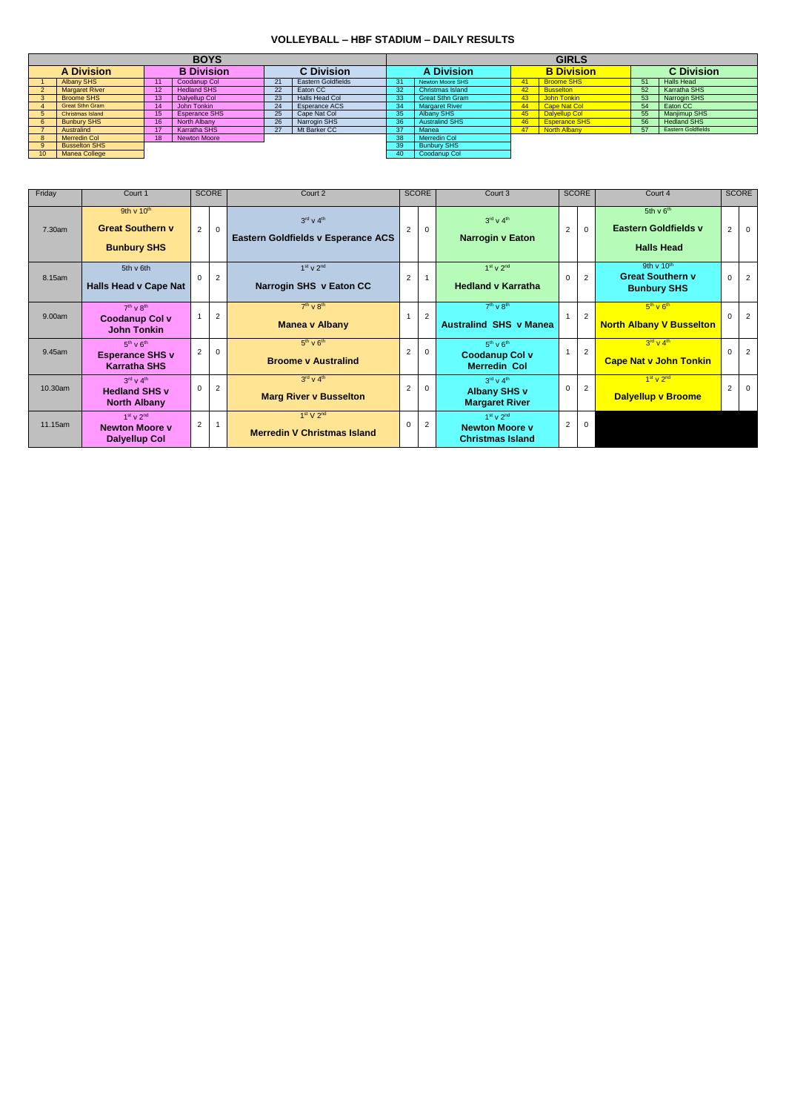## **VOLLEYBALL – HBF STADIUM – DAILY RESULTS**

|                                        |                         |    | <b>BOYS</b>          |    |                           | <b>GIRLS</b> |                         |    |                      |    |                           |  |  |
|----------------------------------------|-------------------------|----|----------------------|----|---------------------------|--------------|-------------------------|----|----------------------|----|---------------------------|--|--|
| <b>A Division</b><br><b>B</b> Division |                         |    | <b>C</b> Division    |    | <b>A Division</b>         |              | <b>B</b> Division       |    | <b>C</b> Division    |    |                           |  |  |
|                                        | <b>Albany SHS</b>       |    | Coodanup Col         | 21 | <b>Eastern Goldfields</b> | 31           | <b>Newton Moore SHS</b> |    | <b>Broome SHS</b>    | 51 | <b>Halls Head</b>         |  |  |
|                                        | <b>Margaret River</b>   | 12 | <b>Hedland SHS</b>   | 22 | Eaton CC                  | 32           | <b>Christmas Island</b> |    | <b>Busselton</b>     | 52 | Karratha SHS              |  |  |
|                                        | <b>Broome SHS</b>       | 13 | Dalyellup Col        | 23 | Halls Head Col            | 33           | <b>Great Sthn Gram</b>  | 43 | John Tonkin          | 53 | Narrogin SHS              |  |  |
|                                        | <b>Great Sthn Gram</b>  | 14 | John Tonkin          | 24 | Esperance ACS             | 34           | <b>Margaret River</b>   | 44 | <b>Cape Nat Col</b>  | 54 | Eaton CC                  |  |  |
|                                        | <b>Christmas Island</b> | 15 | <b>Esperance SHS</b> | 25 | Cape Nat Col              | 35           | Albany SHS              | 45 | Dalyellup Col        | 55 | Manjimup SHS              |  |  |
|                                        | <b>Bunbury SHS</b>      | 16 | North Albany         | 26 | Narrogin SHS              | 36/          | <b>Australind SHS</b>   | 46 | <b>Esperance SHS</b> | 56 | <b>Hedland SHS</b>        |  |  |
|                                        | Australind              |    | Karratha SHS         | 27 | Mt Barker CC              | 37           | Manea                   |    | North Albany         | 57 | <b>Eastern Goldfields</b> |  |  |
|                                        | <b>Merredin Col</b>     | 18 | <b>Newton Moore</b>  |    |                           | 38           | Merredin Col            |    |                      |    |                           |  |  |
|                                        | <b>Busselton SHS</b>    |    |                      |    |                           | 39           | <b>Bunbury SHS</b>      |    |                      |    |                           |  |  |
| 10 <sup>1</sup>                        | Manea College           |    |                      |    |                           | 40           | Coodanup Col            |    |                      |    |                           |  |  |

| Friday  | Court 1                                                                          | <b>SCORE</b>   |                |                                                                                |                | Court 2  |                                                                                   |                | <b>SCORE</b><br>Court 3 |                                                                             |                |                |  |  |  | <b>SCORE</b> |  | Court 4 |  | <b>SCORE</b> |
|---------|----------------------------------------------------------------------------------|----------------|----------------|--------------------------------------------------------------------------------|----------------|----------|-----------------------------------------------------------------------------------|----------------|-------------------------|-----------------------------------------------------------------------------|----------------|----------------|--|--|--|--------------|--|---------|--|--------------|
| 7.30am  | 9th v $10th$<br><b>Great Southern v</b><br><b>Bunbury SHS</b>                    | $\overline{2}$ | 0              | $3^{\text{rd}}$ v $4^{\text{th}}$<br><b>Eastern Goldfields v Esperance ACS</b> | $\overline{2}$ | 0        | $3rd$ V $4th$<br><b>Narrogin v Eaton</b>                                          | 2              | $\mathbf 0$             | 5th $v$ 6 <sup>th</sup><br><b>Eastern Goldfields v</b><br><b>Halls Head</b> | $\overline{2}$ | $\overline{0}$ |  |  |  |              |  |         |  |              |
| 8.15am  | 5th v 6th<br><b>Halls Head v Cape Nat</b>                                        | $\Omega$       | $\overline{2}$ | $1st$ v $2nd$<br>Narrogin SHS v Eaton CC                                       | 2              |          | $1st$ v $2nd$<br><b>Hedland v Karratha</b>                                        | $\Omega$       | $\overline{2}$          | 9th v $10th$<br><b>Great Southern v</b><br><b>Bunbury SHS</b>               | $\overline{0}$ | 2              |  |  |  |              |  |         |  |              |
| 9.00am  | $7th$ v $8th$<br><b>Coodanup Col v</b><br><b>John Tonkin</b>                     |                | 2              | $7th$ v $8th$<br><b>Manea v Albany</b>                                         |                | 2        | $7th$ v $8th$<br><b>Australind SHS v Manea</b>                                    |                | $\overline{2}$          | $5th$ v $6th$<br><b>North Albany V Busselton</b>                            | $\Omega$       | $\overline{2}$ |  |  |  |              |  |         |  |              |
| 9.45am  | $5th$ v $6th$<br><b>Esperance SHS v</b><br><b>Karratha SHS</b>                   | $\overline{2}$ | $\Omega$       | $5th$ v $6th$<br><b>Broome v Australind</b>                                    | 2              | 0        | $5th$ v $6th$<br><b>Coodanup Col v</b><br><b>Merredin Col</b>                     |                | 2                       | $3^{\text{rd}}$ V 4 <sup>th</sup><br><b>Cape Nat v John Tonkin</b>          | $\Omega$       | $\overline{2}$ |  |  |  |              |  |         |  |              |
| 10.30am | $3^{\text{rd}}$ V $4^{\text{th}}$<br><b>Hedland SHS v</b><br><b>North Albany</b> | $\Omega$       |                | $3^{\text{rd}}$ v $4^{\text{th}}$<br><b>Marg River v Busselton</b>             | 2              | $\Omega$ | $3^{\text{rd}}$ v $4^{\text{th}}$<br><b>Albany SHS v</b><br><b>Margaret River</b> | 0              | $\overline{2}$          | $1st$ V $2nd$<br><b>Dalyellup v Broome</b>                                  | $\overline{2}$ | $\overline{0}$ |  |  |  |              |  |         |  |              |
| 11.15am | $1st$ v $2nd$<br><b>Newton Moore v</b><br><b>Dalyellup Col</b>                   | 2              |                | 1 <sup>st</sup> V 2 <sup>nd</sup><br><b>Merredin V Christmas Island</b>        | 0              | 2        | $1st$ v $2nd$<br><b>Newton Moore v</b><br><b>Christmas Island</b>                 | $\overline{2}$ | $\mathbf 0$             |                                                                             |                |                |  |  |  |              |  |         |  |              |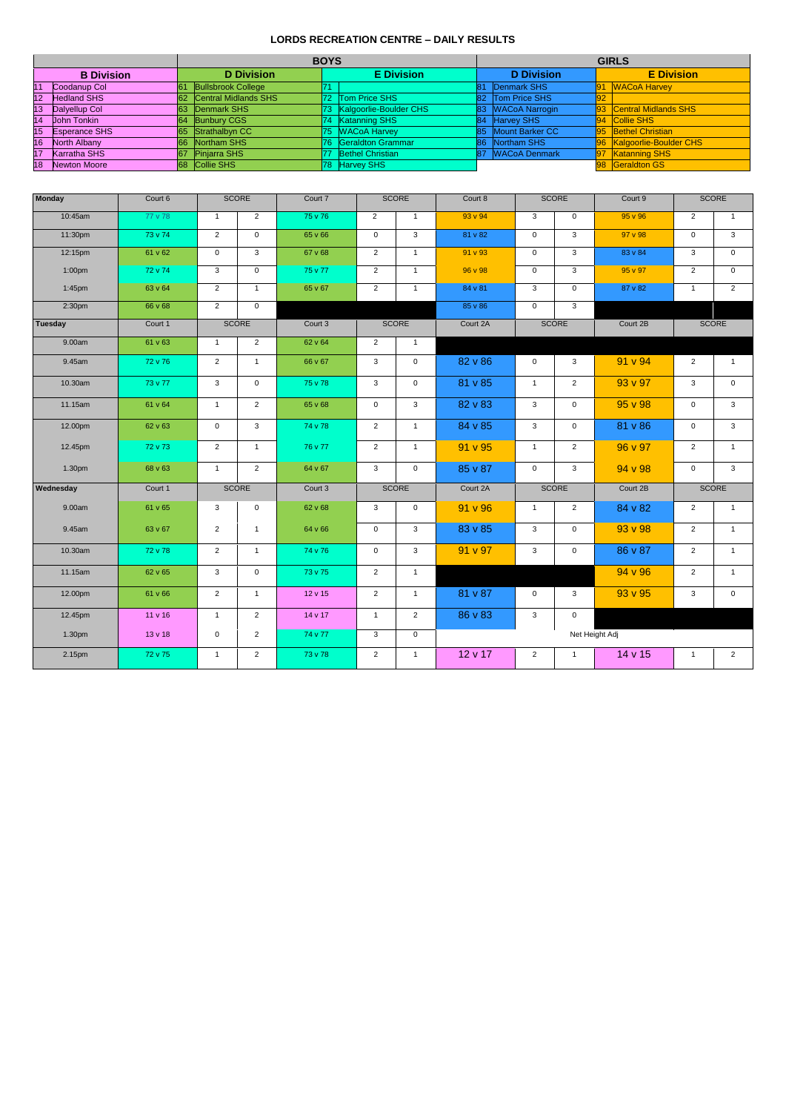## **LORDS RECREATION CENTRE – DAILY RESULTS**

|                 |                      |                 |                           | <b>BOYS</b> |                           | <b>GIRLS</b>      |                      |    |                           |  |  |  |
|-----------------|----------------------|-----------------|---------------------------|-------------|---------------------------|-------------------|----------------------|----|---------------------------|--|--|--|
|                 | <b>B</b> Division    |                 | <b>D</b> Division         |             | <b>E</b> Division         | <b>D</b> Division |                      |    | <b>E</b> Division         |  |  |  |
| 11              | Coodanup Col         | 61              | <b>Bullsbrook College</b> | 171         |                           | 81                | Denmark SHS          | 91 | <b>NACoA Harvey</b>       |  |  |  |
| 12              | <b>Hedland SHS</b>   | 62 <sub>2</sub> | Central Midlands SHS      |             | 72 Tom Price SHS          |                   | 82 Tom Price SHS     | 92 |                           |  |  |  |
| 13 <sub>l</sub> | Dalyellup Col        | 63              | Denmark SHS               |             | 73 Kalgoorlie-Boulder CHS |                   | 83 WACoA Narrogin    |    | 93 Central Midlands SHS   |  |  |  |
| 14              | <b>John Tonkin</b>   | 64              | <b>Bunbury CGS</b>        |             | 74 Katanning SHS          | 84                | <b>Harvey SHS</b>    |    | 94 Collie SHS             |  |  |  |
| 15              | <b>Esperance SHS</b> | 65              | Strathalbyn CC            |             | 75 WACoA Harvey           |                   | 85 Mount Barker CC   |    | 95 Bethel Christian       |  |  |  |
| 16              | North Albany         | 66              | Northam SHS               | 176.        | Geraldton Grammar         | 86                | Northam SHS          |    | 96 Kalgoorlie-Boulder CHS |  |  |  |
| 17              | <b>Karratha SHS</b>  | 67              | <b>Pinjarra SHS</b>       | 177         | <b>Bethel Christian</b>   | 87                | <b>WACoA Denmark</b> | 97 | <b>Katanning SHS</b>      |  |  |  |
| 18              | Newton Moore         | <b>68</b>       | Collie SHS                | 178.        | <b>Harvey SHS</b>         |                   |                      |    | 98 Geraldton GS           |  |  |  |

| <b>Monday</b>      | Court 6 |                     | SCORE          | Court 7      |                | <b>SCORE</b>        | Court 8  |                     | <b>SCORE</b>   | Court 9        |                  | SCORE               |  |
|--------------------|---------|---------------------|----------------|--------------|----------------|---------------------|----------|---------------------|----------------|----------------|------------------|---------------------|--|
| 10:45am            | 77 v 78 | $\mathbf{1}$        | $\overline{2}$ | 75 v 76      | $\overline{2}$ | $\mathbf{1}$        | 93 v 94  | $\mathbf{3}$        | $\mathbf 0$    | $95 \vee 96$   | 2                | $\mathbf{1}$        |  |
| 11:30pm            | 73 v 74 | $\overline{2}$      | $\overline{0}$ | 65 v 66      | $\overline{0}$ | $\overline{3}$      | 81 v 82  | $\overline{0}$      | $\overline{3}$ | 97 v 98        | $\overline{0}$   | $\overline{\omega}$ |  |
| 12:15pm            | 61 v 62 | $\mathsf{O}\xspace$ | $\mathbf{3}$   | 67 v 68      | $\overline{2}$ | $\mathbf{1}$        | 91 v 93  | $\mathsf{O}\xspace$ | $\mathbf{3}$   | 83 v 84        | $\mathbf{3}$     | $\mathbf 0$         |  |
| 1:00pm             | 72 v 74 | 3                   | $\overline{0}$ | 75 v 77      | $\overline{2}$ | $\mathbf{1}$        | 96 v 98  | $\overline{0}$      | $\mathbf{3}$   | 95 v 97        | $\overline{2}$   | $\mathbf 0$         |  |
| 1:45pm             | 63 v 64 | $\overline{2}$      | $\overline{1}$ | 65 v 67      | $\overline{2}$ | $\mathbf{1}$        | 84 v 81  | $\overline{3}$      | $\mathbf 0$    | 87 v 82        | $\mathbf{1}$     | $\overline{2}$      |  |
| 2:30 <sub>pm</sub> | 66 v 68 | $\overline{2}$      | $\mathbf 0$    |              |                |                     | 85 v 86  | $\overline{0}$      | $\mathbf{3}$   |                |                  |                     |  |
| Tuesday            | Court 1 |                     | SCORE          | Court 3      |                | SCORE               | Court 2A |                     | SCORE          | Court 2B       |                  | SCORE               |  |
| 9.00am             | 61 v 63 | $\mathbf{1}$        | $\overline{2}$ | 62 v 64      | $\overline{2}$ | $\mathbf{1}$        |          |                     |                |                |                  |                     |  |
| 9.45am             | 72 v 76 | $\overline{2}$      | $\mathbf{1}$   | 66 v 67      | $\mathbf{3}$   | $\mathsf{O}\xspace$ | 82 v 86  | 0                   | 3              | 91 v 94        | $\overline{2}$   | $\overline{1}$      |  |
| 10.30am            | 73 v 77 | $\mathbf{3}$        | $\mathbf 0$    | 75 v 78      | $\mathbf{3}$   | $\mathsf{O}\xspace$ | 81 v 85  | $\mathbf{1}$        | $\overline{2}$ | 93 v 97        | $\mathbf{3}$     | $\mathbf 0$         |  |
| 11.15am            | 61 v 64 | $\mathbf{1}$        | $\overline{2}$ | 65 v 68      | $\pmb{0}$      | $\mathbf{3}$        | 82 v 83  | $\mathbf{3}$        | $\mathbf 0$    | 95 v 98        | $\mathsf 0$      | $\mathbf{3}$        |  |
| 12.00pm            | 62 v 63 | $\overline{0}$      | $\mathbf{3}$   | 74 v 78      | $\overline{2}$ | $\mathbf{1}$        | 84 v 85  | $\mathbf{3}$        | $\mathbf 0$    | 81 v 86        | $\mathbf 0$      | $\mathbf{3}$        |  |
| 12.45pm            | 72 v 73 | $\overline{2}$      | $\overline{1}$ | 76 v 77      | $\overline{2}$ | $\mathbf{1}$        | 91 v 95  | $\mathbf 1$         | $\overline{2}$ | 96 v 97        | $\overline{2}$   | $\mathbf{1}$        |  |
| 1.30pm             | 68 v 63 | $\mathbf{1}$        | $\overline{2}$ | 64 v 67      | $\mathbf{3}$   | $\mathbf 0$         | 85 v 87  | $\overline{0}$      | $\mathbf{3}$   | 94 v 98        | $\boldsymbol{0}$ | $\mathbf{3}$        |  |
| Wednesday          | Court 1 | SCORE               |                | Court 3      | <b>SCORE</b>   |                     | Court 2A | SCORE               |                | Court 2B       |                  | SCORE               |  |
| 9.00am             | 61 v 65 | 3                   | $\mathbf 0$    | 62 v 68      | 3              | 0                   | 91 v 96  | $\mathbf{1}$        | $\overline{2}$ | 84 v 82        | 2                | $\mathbf{1}$        |  |
| 9.45am             | 63 v 67 | $\overline{2}$      | $\mathbf{1}$   | 64 v 66      | $\mathbf 0$    | $\mathbf{3}$        | 83 v 85  | $\mathbf{3}$        | $\overline{0}$ | 93 v 98        | $\overline{2}$   | $\overline{1}$      |  |
| 10.30am            | 72 v 78 | $\overline{2}$      | $\mathbf{1}$   | 74 v 76      | $\mathbf 0$    | $\mathbf{3}$        | 91 v 97  | $\mathbf{3}$        | $\mathbf 0$    | 86 v 87        | $\overline{2}$   | $\mathbf{1}$        |  |
| 11.15am            | 62 v 65 | 3                   | $\mathbf 0$    | 73 v 75      | $\overline{2}$ | $\mathbf{1}$        |          |                     |                | 94 v 96        | 2                | $\overline{1}$      |  |
| 12.00pm            | 61 v 66 | $\overline{2}$      | $\mathbf{1}$   | $12 \vee 15$ | $\overline{2}$ | $\mathbf{1}$        | 81 v 87  | $\overline{0}$      | $\mathbf{3}$   | 93 v 95        | $\mathbf{3}$     | $\mathbf 0$         |  |
| 12.45pm            | 11 v 16 | $\mathbf{1}$        | $\overline{2}$ | 14 v 17      | $\mathbf{1}$   | $\overline{2}$      | 86 v 83  | $\mathbf{3}$        | $\overline{0}$ |                |                  |                     |  |
| 1.30pm             | 13 v 18 | $\mathbf 0$         | $\overline{2}$ | 74 v 77      | $\mathbf{3}$   | $\overline{0}$      |          |                     |                | Net Height Adj |                  |                     |  |
| 2.15pm             | 72 v 75 | $\mathbf{1}$        | $\overline{2}$ | 73 v 78      | $\overline{2}$ | $\mathbf{1}$        | 12 v 17  | $\overline{2}$      | $\mathbf{1}$   | 14 v 15        | $\mathbf{1}$     | $\overline{2}$      |  |